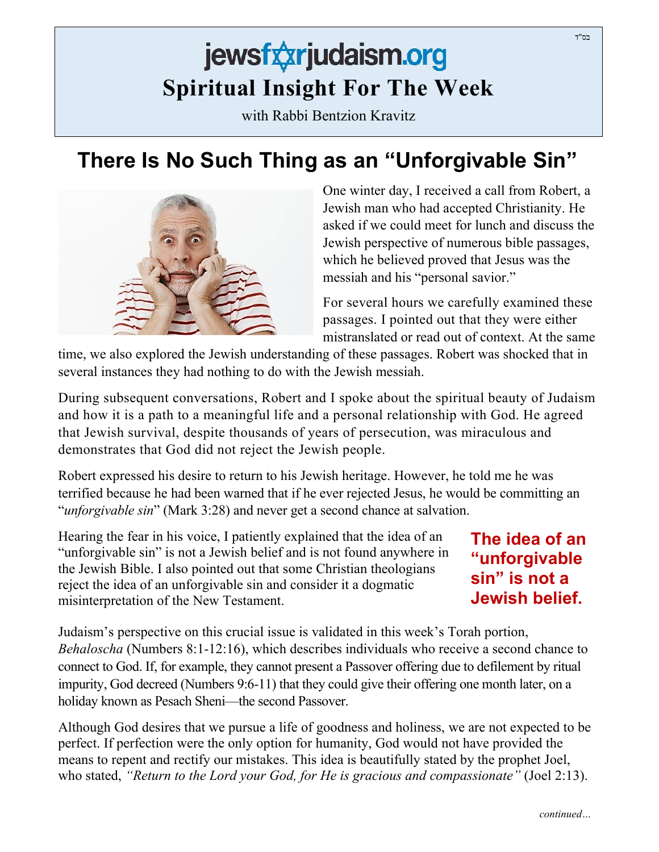## jewsfxxrjudaism.org **Spiritual Insight For The Week**

with Rabbi Bentzion Kravitz

## **There Is No Such Thing as an "Unforgivable Sin"**



One winter day, I received a call from Robert, a Jewish man who had accepted Christianity. He asked if we could meet for lunch and discuss the Jewish perspective of numerous bible passages, which he believed proved that Jesus was the messiah and his "personal savior."

For several hours we carefully examined these passages. I pointed out that they were either mistranslated or read out of context. At the same

time, we also explored the Jewish understanding of these passages. Robert was shocked that in several instances they had nothing to do with the Jewish messiah.

During subsequent conversations, Robert and I spoke about the spiritual beauty of Judaism and how it is a path to a meaningful life and a personal relationship with God. He agreed that Jewish survival, despite thousands of years of persecution, was miraculous and demonstrates that God did not reject the Jewish people.

Robert expressed his desire to return to his Jewish heritage. However, he told me he was terrified because he had been warned that if he ever rejected Jesus, he would be committing an "*unforgivable sin*" (Mark 3:28) and never get a second chance at salvation.

Hearing the fear in his voice, I patiently explained that the idea of an "unforgivable sin" is not a Jewish belief and is not found anywhere in the Jewish Bible. I also pointed out that some Christian theologians reject the idea of an unforgivable sin and consider it a dogmatic misinterpretation of the New Testament.

**The idea of an "unforgivable sin" is not a Jewish belief.**

Judaism's perspective on this crucial issue is validated in this week's Torah portion, *Behaloscha* (Numbers 8:1-12:16), which describes individuals who receive a second chance to connect to God. If, for example, they cannot present a Passover offering due to defilement by ritual impurity, God decreed (Numbers 9:6-11) that they could give their offering one month later, on a holiday known as Pesach Sheni—the second Passover.

Although God desires that we pursue a life of goodness and holiness, we are not expected to be perfect. If perfection were the only option for humanity, God would not have provided the means to repent and rectify our mistakes. This idea is beautifully stated by the prophet Joel, who stated, *"Return to the Lord your God, for He is gracious and compassionate"* (Joel 2:13).